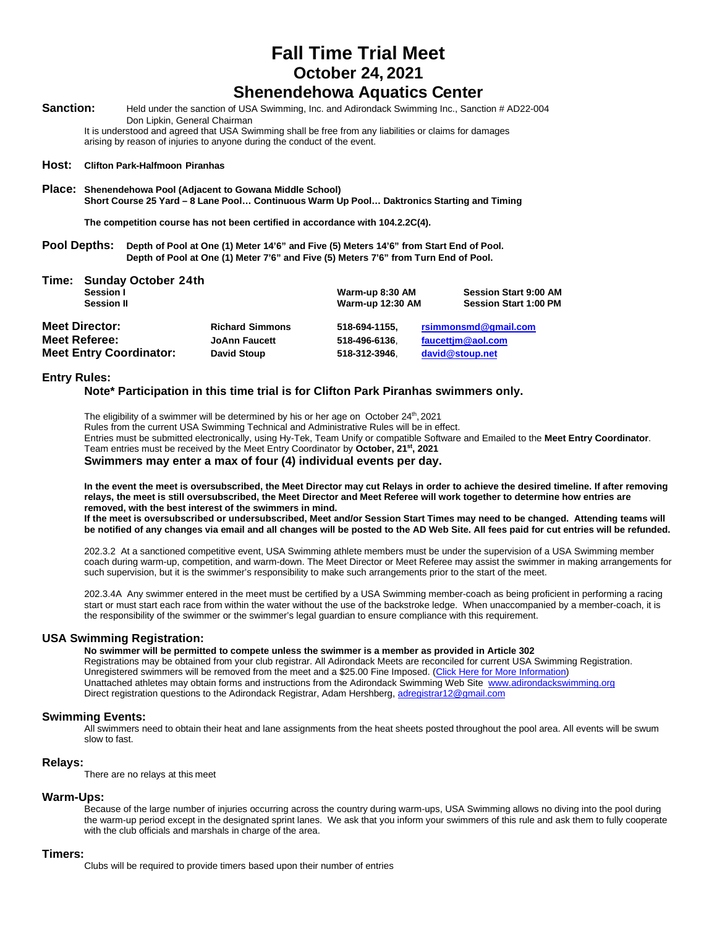## **Fall Time Trial Meet October 24, 2021**

## **Shenendehowa Aquatics Center**

Sanction: Held under the sanction of USA Swimming, Inc. and Adirondack Swimming Inc., Sanction # AD22-004 Don Lipkin, General Chairman

It is understood and agreed that USA Swimming shall be free from any liabilities or claims for damages arising by reason of injuries to anyone during the conduct of the event.

#### **Host: Clifton Park-Halfmoon Piranhas**

**Place: Shenendehowa Pool (Adjacent to Gowana Middle School) Short Course 25 Yard – 8 Lane Pool… Continuous Warm Up Pool… Daktronics Starting and Timing**

**The competition course has not been certified in accordance with 104.2.2C(4).**

**Pool Depths: Depth of Pool at One (1) Meter 14'6" and Five (5) Meters 14'6" from Start End of Pool. Depth of Pool at One (1) Meter 7'6" and Five (5) Meters 7'6" from Turn End of Pool.**

| Time:<br>Sunday October 24th<br>Session I<br><b>Session II</b> |                        | Warm-up 8:30 AM<br><b>Warm-up 12:30 AM</b> | <b>Session Start 9:00 AM</b><br><b>Session Start 1:00 PM</b> |
|----------------------------------------------------------------|------------------------|--------------------------------------------|--------------------------------------------------------------|
| <b>Meet Director:</b>                                          | <b>Richard Simmons</b> | 518-694-1155.                              | rsimmonsmd@qmail.com                                         |
| <b>Meet Referee:</b>                                           | <b>JoAnn Faucett</b>   | 518-496-6136.                              | faucettim@aol.com                                            |
| <b>Meet Entry Coordinator:</b>                                 | <b>David Stoup</b>     | 518-312-3946.                              | david@stoup.net                                              |

#### **Entry Rules:**

#### **Note\* Participation in this time trial is for Clifton Park Piranhas swimmers only.**

The eligibility of a swimmer will be determined by his or her age on October 24<sup>th</sup>, 2021 Rules from the current USA Swimming Technical and Administrative Rules will be in effect. Entries must be submitted electronically, using Hy-Tek, Team Unify or compatible Software and Emailed to the **Meet Entry Coordinator**. Team entries must be received by the Meet Entry Coordinator by **October, 21st, 2021**

#### **Swimmers may enter a max of four (4) individual events per day.**

**In the event the meet is oversubscribed, the Meet Director may cut Relays in order to achieve the desired timeline. If after removing relays, the meet is still oversubscribed, the Meet Director and Meet Referee will work together to determine how entries are removed, with the best interest of the swimmers in mind.**

**If the meet is oversubscribed or undersubscribed, Meet and/or Session Start Times may need to be changed. Attending teams will be notified of any changes via email and all changes will be posted to the AD Web Site. All fees paid for cut entries will be refunded.**

202.3.2 At a sanctioned competitive event, USA Swimming athlete members must be under the supervision of a USA Swimming member coach during warm-up, competition, and warm-down. The Meet Director or Meet Referee may assist the swimmer in making arrangements for such supervision, but it is the swimmer's responsibility to make such arrangements prior to the start of the meet.

202.3.4A Any swimmer entered in the meet must be certified by a USA Swimming member-coach as being proficient in performing a racing start or must start each race from within the water without the use of the backstroke ledge. When unaccompanied by a member-coach, it is the responsibility of the swimmer or the swimmer's legal guardian to ensure compliance with this requirement.

#### **USA Swimming Registration:**

**No swimmer will be permitted to compete unless the swimmer is a member as provided in Article 302**

Registrations may be obtained from your club registrar. All Adirondack Meets are reconciled for current USA Swimming Registration. Unregistered swimmers will be removed from the meet and a \$25.00 Fine Imposed. (Click Here for More Information) Unattached athletes may obtain forms and instructions from the Adirondack Swimming Web Site [www.adirondackswimming.org](http://www.adirondackswimming.org/) Direct registration questions to the Adirondack Registrar, Adam Hershberg[, adregistrar12@gmail.com](mailto:adregistrar12@gmail.com)

#### **Swimming Events:**

All swimmers need to obtain their heat and lane assignments from the heat sheets posted throughout the pool area. All events will be swum slow to fast.

#### **Relays:**

There are no relays at this meet

#### **Warm-Ups:**

Because of the large number of injuries occurring across the country during warm-ups, USA Swimming allows no diving into the pool during the warm-up period except in the designated sprint lanes. We ask that you inform your swimmers of this rule and ask them to fully cooperate with the club officials and marshals in charge of the area.

#### **Timers:**

Clubs will be required to provide timers based upon their number of entries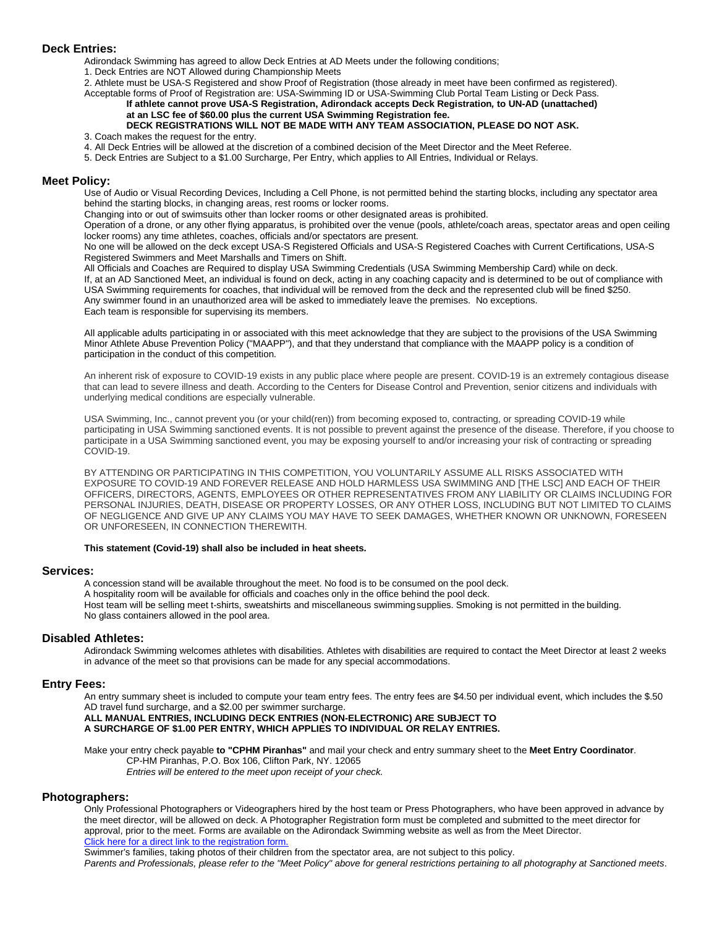#### **Deck Entries:**

Adirondack Swimming has agreed to allow Deck Entries at AD Meets under the following conditions;

1. Deck Entries are NOT Allowed during Championship Meets

2. Athlete must be USA-S Registered and show Proof of Registration (those already in meet have been confirmed as registered). Acceptable forms of Proof of Registration are: USA-Swimming ID or USA-Swimming Club Portal Team Listing or Deck Pass.

#### **If athlete cannot prove USA-S Registration, Adirondack accepts Deck Registration***,* **to UN-AD (unattached) at an LSC fee of \$60.00 plus the current USA Swimming Registration fee.**

#### **DECK REGISTRATIONS WILL NOT BE MADE WITH ANY TEAM ASSOCIATION, PLEASE DO NOT ASK.** 3. Coach makes the request for the entry.

- 4. All Deck Entries will be allowed at the discretion of a combined decision of the Meet Director and the Meet Referee.
- 5. Deck Entries are Subject to a \$1.00 Surcharge, Per Entry, which applies to All Entries, Individual or Relays.

#### **Meet Policy:**

Use of Audio or Visual Recording Devices, Including a Cell Phone, is not permitted behind the starting blocks, including any spectator area behind the starting blocks, in changing areas, rest rooms or locker rooms.

Changing into or out of swimsuits other than locker rooms or other designated areas is prohibited.

Operation of a drone, or any other flying apparatus, is prohibited over the venue (pools, athlete/coach areas, spectator areas and open ceiling locker rooms) any time athletes, coaches, officials and/or spectators are present.

No one will be allowed on the deck except USA-S Registered Officials and USA-S Registered Coaches with Current Certifications, USA-S Registered Swimmers and Meet Marshalls and Timers on Shift.

All Officials and Coaches are Required to display USA Swimming Credentials (USA Swimming Membership Card) while on deck. If, at an AD Sanctioned Meet, an individual is found on deck, acting in any coaching capacity and is determined to be out of compliance with USA Swimming requirements for coaches, that individual will be removed from the deck and the represented club will be fined \$250. Any swimmer found in an unauthorized area will be asked to immediately leave the premises. No exceptions. Each team is responsible for supervising its members.

All applicable adults participating in or associated with this meet acknowledge that they are subject to the provisions of the USA Swimming Minor Athlete Abuse Prevention Policy ("MAAPP"), and that they understand that compliance with the MAAPP policy is a condition of participation in the conduct of this competition.

An inherent risk of exposure to COVID-19 exists in any public place where people are present. COVID-19 is an extremely contagious disease that can lead to severe illness and death. According to the Centers for Disease Control and Prevention, senior citizens and individuals with underlying medical conditions are especially vulnerable.

USA Swimming, Inc., cannot prevent you (or your child(ren)) from becoming exposed to, contracting, or spreading COVID-19 while participating in USA Swimming sanctioned events. It is not possible to prevent against the presence of the disease. Therefore, if you choose to participate in a USA Swimming sanctioned event, you may be exposing yourself to and/or increasing your risk of contracting or spreading COVID-19.

BY ATTENDING OR PARTICIPATING IN THIS COMPETITION, YOU VOLUNTARILY ASSUME ALL RISKS ASSOCIATED WITH EXPOSURE TO COVID-19 AND FOREVER RELEASE AND HOLD HARMLESS USA SWIMMING AND [THE LSC] AND EACH OF THEIR OFFICERS, DIRECTORS, AGENTS, EMPLOYEES OR OTHER REPRESENTATIVES FROM ANY LIABILITY OR CLAIMS INCLUDING FOR PERSONAL INJURIES, DEATH, DISEASE OR PROPERTY LOSSES, OR ANY OTHER LOSS, INCLUDING BUT NOT LIMITED TO CLAIMS OF NEGLIGENCE AND GIVE UP ANY CLAIMS YOU MAY HAVE TO SEEK DAMAGES, WHETHER KNOWN OR UNKNOWN, FORESEEN OR UNFORESEEN, IN CONNECTION THEREWITH.

#### **This statement (Covid-19) shall also be included in heat sheets.**

#### **Services:**

A concession stand will be available throughout the meet. No food is to be consumed on the pool deck. A hospitality room will be available for officials and coaches only in the office behind the pool deck. Host team will be selling meet t-shirts, sweatshirts and miscellaneous swimmingsupplies. Smoking is not permitted in the building. No glass containers allowed in the pool area.

#### **Disabled Athletes:**

Adirondack Swimming welcomes athletes with disabilities. Athletes with disabilities are required to contact the Meet Director at least 2 weeks in advance of the meet so that provisions can be made for any special accommodations.

#### **Entry Fees:**

An entry summary sheet is included to compute your team entry fees. The entry fees are \$4.50 per individual event, which includes the \$.50 AD travel fund surcharge, and a \$2.00 per swimmer surcharge.

#### **ALL MANUAL ENTRIES, INCLUDING DECK ENTRIES (NON-ELECTRONIC) ARE SUBJECT TO A SURCHARGE OF \$1.00 PER ENTRY, WHICH APPLIES TO INDIVIDUAL OR RELAY ENTRIES.**

Make your entry check payable **to "CPHM Piranhas"** and mail your check and entry summary sheet to the **Meet Entry Coordinator**. CP-HM Piranhas, P.O. Box 106, Clifton Park, NY. 12065 *Entries will be entered to the meet upon receipt of your check.*

#### **Photographers:**

Only Professional Photographers or Videographers hired by the host team or Press Photographers, who have been approved in advance by the meet director, will be allowed on deck. A Photographer Registration form must be completed and submitted to the meet director for approval, prior to the meet. Forms are available on the Adirondack Swimming website as well as from the Meet Director. Click here for a direct link to the registration form.

Swimmer's families, taking photos of their children from the spectator area, are not subject to this policy.

*Parents and Professionals, please refer to the "Meet Policy" above for general restrictions pertaining to all photography at Sanctioned meets*.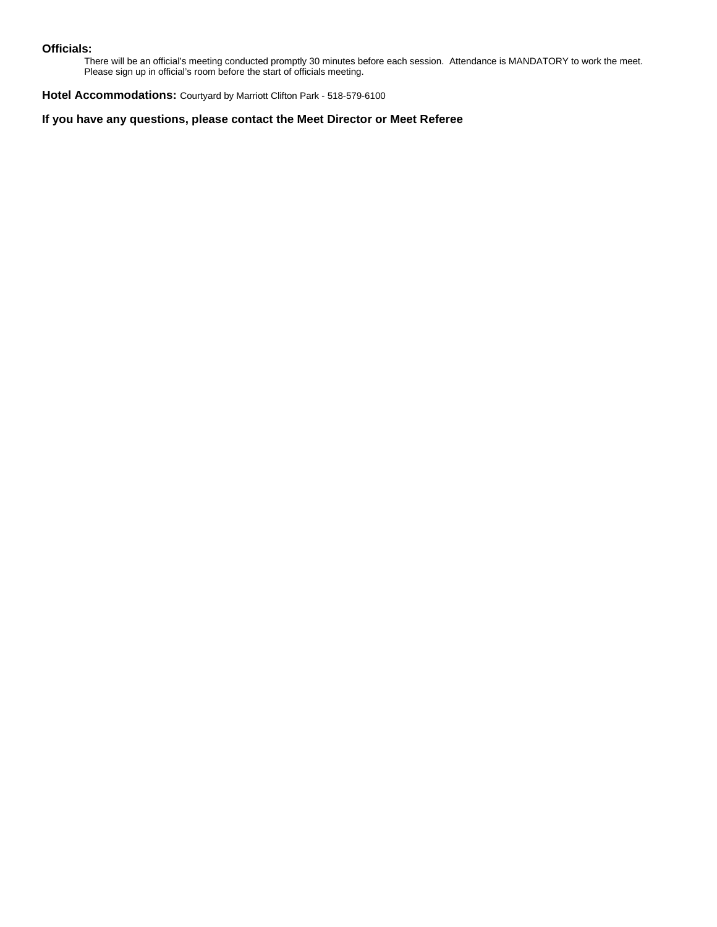#### **Officials:**

There will be an official's meeting conducted promptly 30 minutes before each session. Attendance is MANDATORY to work the meet. Please sign up in official's room before the start of officials meeting.

**Hotel Accommodations:** Courtyard by Marriott Clifton Park - 518-579-6100

**If you have any questions, please contact the Meet Director or Meet Referee**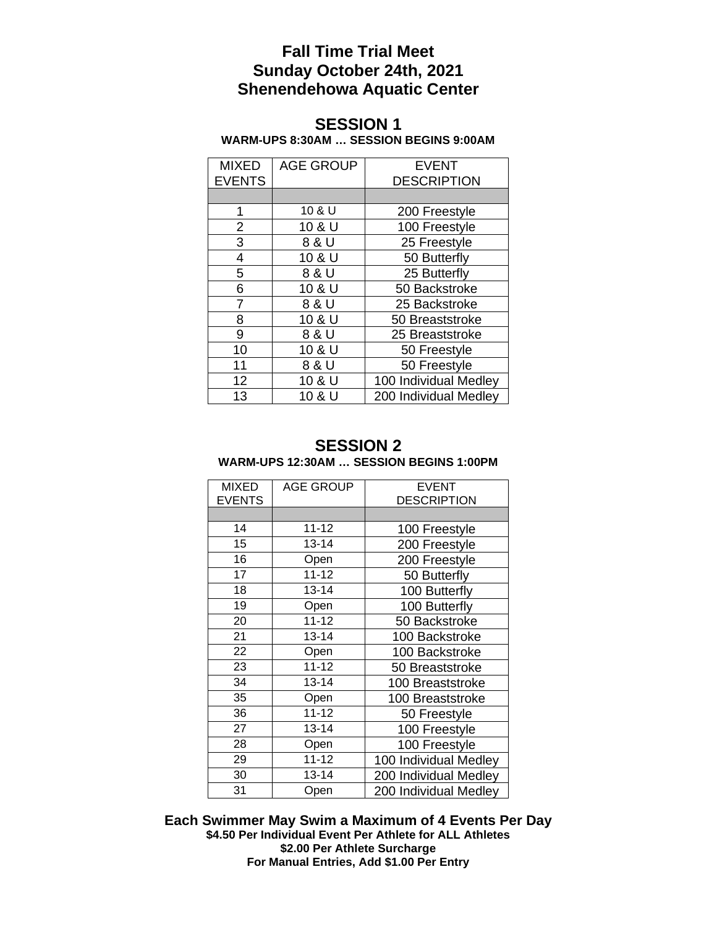## **Fall Time Trial Meet Sunday October 24th, 2021 Shenendehowa Aquatic Center**

## **SESSION 1 WARM-UPS 8:30AM … SESSION BEGINS 9:00AM**

| <b>MIXED</b><br><b>EVENTS</b> | <b>AGE GROUP</b> | <b>EVENT</b><br><b>DESCRIPTION</b> |
|-------------------------------|------------------|------------------------------------|
|                               |                  |                                    |
| 1                             | 10 & U           | 200 Freestyle                      |
| 2                             | 10 & U           | 100 Freestyle                      |
| 3                             | 8 & U            | 25 Freestyle                       |
| 4                             | 10 & U           | 50 Butterfly                       |
| 5                             | 8 & U            | 25 Butterfly                       |
| 6                             | 10 & U           | 50 Backstroke                      |
| 7                             | 8 & U            | 25 Backstroke                      |
| 8                             | 10 & U           | 50 Breaststroke                    |
| 9                             | 8 & U            | 25 Breaststroke                    |
| 10                            | 10 & U           | 50 Freestyle                       |
| 11                            | 8 & U            | 50 Freestyle                       |
| 12                            | 10 & U           | 100 Individual Medley              |
| 13                            | 10 & U           | 200 Individual Medley              |

### **SESSION 2 WARM-UPS 12:30AM … SESSION BEGINS 1:00PM**

| MIXED         | <b>AGE GROUP</b> | <b>EVENT</b>          |
|---------------|------------------|-----------------------|
| <b>EVENTS</b> |                  | <b>DESCRIPTION</b>    |
|               |                  |                       |
| 14            | $11 - 12$        | 100 Freestyle         |
| 15            | $13 - 14$        | 200 Freestyle         |
| 16            | Open             | 200 Freestyle         |
| 17            | $11 - 12$        | 50 Butterfly          |
| 18            | 13-14            | 100 Butterfly         |
| 19            | Open             | 100 Butterfly         |
| 20            | $11 - 12$        | 50 Backstroke         |
| 21            | $13 - 14$        | 100 Backstroke        |
| 22            | Open             | 100 Backstroke        |
| 23            | $11 - 12$        | 50 Breaststroke       |
| 34            | $13 - 14$        | 100 Breaststroke      |
| 35            | Open             | 100 Breaststroke      |
| 36            | $11 - 12$        | 50 Freestyle          |
| 27            | $13 - 14$        | 100 Freestyle         |
| 28            | Open             | 100 Freestyle         |
| 29            | $11 - 12$        | 100 Individual Medley |
| 30            | $13 - 14$        | 200 Individual Medley |
| 31            | Open             | 200 Individual Medley |

**Each Swimmer May Swim a Maximum of 4 Events Per Day \$4.50 Per Individual Event Per Athlete for ALL Athletes \$2.00 Per Athlete Surcharge For Manual Entries, Add \$1.00 Per Entry**